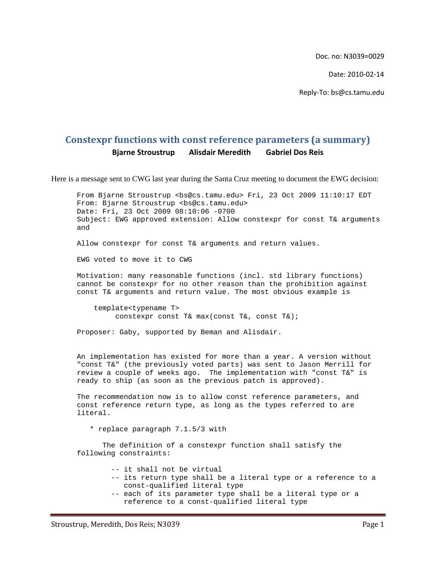Doc. no: N3039=0029

Date: 2010‐02‐14

Reply‐To: bs@cs.tamu.edu

## **Constexpr functions with const reference parameters (a summary) Bjarne Stroustrup Alisdair Meredith Gabriel Dos Reis**

Here is a message sent to CWG last year during the Santa Cruz meeting to document the EWG decision:

From Bjarne Stroustrup <bs@cs.tamu.edu> Fri, 23 Oct 2009 11:10:17 EDT From: Bjarne Stroustrup <br/>bs@cs.tamu.edu> Date: Fri, 23 Oct 2009 08:10:06 -0700 Subject: EWG approved extension: Allow constexpr for const T& arguments and

Allow constexpr for const T& arguments and return values.

EWG voted to move it to CWG

Motivation: many reasonable functions (incl. std library functions) cannot be constexpr for no other reason than the prohibition against const T& arguments and return value. The most obvious example is

 template<typename T> constexpr const T& max(const T&, const T&);

Proposer: Gaby, supported by Beman and Alisdair.

An implementation has existed for more than a year. A version without "const T&" (the previously voted parts) was sent to Jason Merrill for review a couple of weeks ago. The implementation with "const T&" is ready to ship (as soon as the previous patch is approved).

The recommendation now is to allow const reference parameters, and const reference return type, as long as the types referred to are literal.

\* replace paragraph 7.1.5/3 with

 The definition of a constexpr function shall satisfy the following constraints:

- -- it shall not be virtual
- -- its return type shall be a literal type or a reference to a const-qualified literal type
- -- each of its parameter type shall be a literal type or a reference to a const-qualified literal type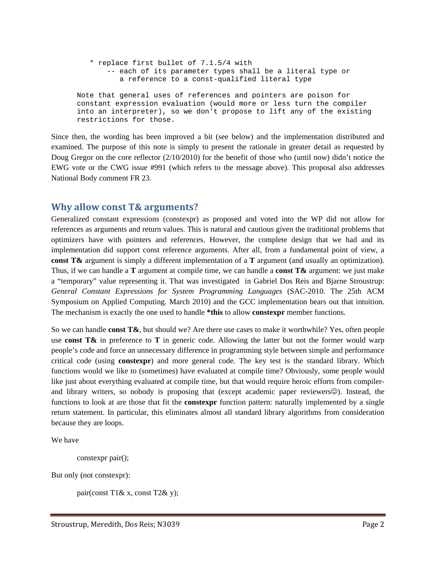```
 * replace first bullet of 7.1.5/4 with 
        -- each of its parameter types shall be a literal type or 
           a reference to a const-qualified literal type 
Note that general uses of references and pointers are poison for 
constant expression evaluation (would more or less turn the compiler 
into an interpreter), so we don't propose to lift any of the existing 
restrictions for those.
```
Since then, the wording has been improved a bit (see below) and the implementation distributed and examined. The purpose of this note is simply to present the rationale in greater detail as requested by Doug Gregor on the core reflector (2/10/2010) for the benefit of those who (until now) didn't notice the EWG vote or the CWG issue #991 (which refers to the message above). This proposal also addresses National Body comment FR 23.

## **Why allow const T& arguments?**

Generalized constant expressions (constexpr) as proposed and voted into the WP did not allow for references as arguments and return values. This is natural and cautious given the traditional problems that optimizers have with pointers and references. However, the complete design that we had and its implementation did support const reference arguments. After all, from a fundamental point of view, a **const T&** argument is simply a different implementation of a **T** argument (and usually an optimization). Thus, if we can handle a **T** argument at compile time, we can handle a **const T&** argument: we just make a "temporary" value representing it. That was investigated in Gabriel Dos Reis and Bjarne Stroustrup: *General Constant Expressions for System Programming Languages* (SAC-2010. The 25th ACM Symposium on Applied Computing. March 2010) and the GCC implementation bears out that intuition. The mechanism is exactly the one used to handle **\*this** to allow **constexpr** member functions.

So we can handle **const T&**, but should we? Are there use cases to make it worthwhile? Yes, often people use **const T&** in preference to **T** in generic code. Allowing the latter but not the former would warp people's code and force an unnecessary difference in programming style between simple and performance critical code (using **constexpr**) and more general code. The key test is the standard library. Which functions would we like to (sometimes) have evaluated at compile time? Obviously, some people would like just about everything evaluated at compile time, but that would require heroic efforts from compilerand library writers, so nobody is proposing that (except academic paper reviewers $\odot$ ). Instead, the functions to look at are those that fit the **constexpr** function pattern: naturally implemented by a single return statement. In particular, this eliminates almost all standard library algorithms from consideration because they are loops.

We have

```
 constexpr pair();
```
But only (not constexpr):

pair(const T1& x, const T2& y);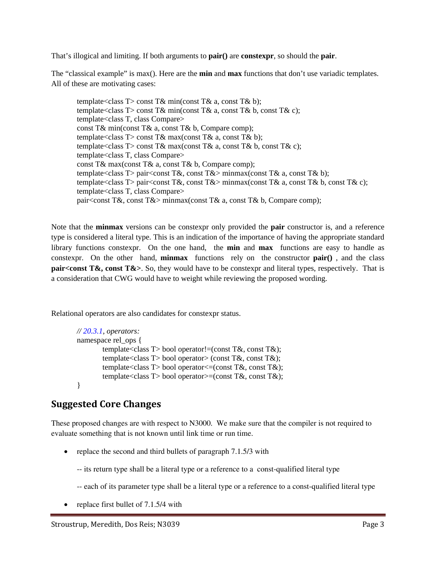That's illogical and limiting. If both arguments to **pair()** are **constexpr**, so should the **pair**.

The "classical example" is max(). Here are the **min** and **max** functions that don't use variadic templates. All of these are motivating cases:

template<class  $T > \text{const } T \& \text{ min}(\text{const } T \& \text{ a, const } T \& \text{ b});$ template<class T> const T& min(const T& a, const T& b, const T& c); template<class T, class Compare> const T& min(const T& a, const T& b, Compare comp); template<class T> const T& max(const T& a, const T& b); template<class T> const T& max(const T& a, const T& b, const T& c); template<class T, class Compare> const T& max(const T& a, const T& b, Compare comp); template<class T> pair<const T&, const T&> minmax(const T& a, const T& b): template<class T> pair<const T&, const T&> minmax(const T& a, const T& b, const T& c); template<class T, class Compare> pair<const T&, const T&> minmax(const T& a, const T& b, Compare comp);

Note that the **minmax** versions can be constexpr only provided the **pair** constructor is, and a reference type is considered a literal type. This is an indication of the importance of having the appropriate standard library functions constexpr. On the one hand, the **min** and **max** functions are easy to handle as constexpr. On the other hand, **minmax** functions rely on the constructor **pair()** , and the class **pair<const T&, const T&>**. So, they would have to be constexpr and literal types, respectively. That is a consideration that CWG would have to weight while reviewing the proposed wording.

Relational operators are also candidates for constexpr status.

```
// 20.3.1, operators: 
namespace rel_ops { 
        template<class T> bool operator!=(const T&, const T&);
        template<class T> bool operator> (const T&, const T&);
        template<class T> bool operator \leq (const T&, const T&);
        template<class T> bool operator>=(const T&, const T&); 
}
```
## **Suggested Core Changes**

These proposed changes are with respect to N3000. We make sure that the compiler is not required to evaluate something that is not known until link time or run time.

- replace the second and third bullets of paragraph 7.1.5/3 with
	- -- its return type shall be a literal type or a reference to a const-qualified literal type
	- -- each of its parameter type shall be a literal type or a reference to a const-qualified literal type
- replace first bullet of 7.1.5/4 with